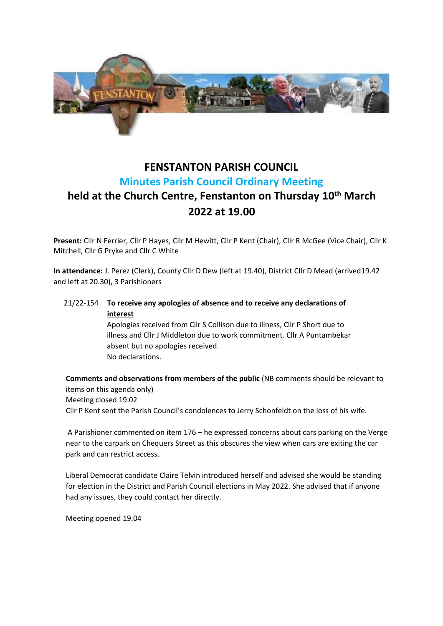

# **FENSTANTON PARISH COUNCIL Minutes Parish Council Ordinary Meeting**

# **held at the Church Centre, Fenstanton on Thursday 10th March 2022 at 19.00**

**Present:** Cllr N Ferrier, Cllr P Hayes, Cllr M Hewitt, Cllr P Kent (Chair), Cllr R McGee (Vice Chair), Cllr K Mitchell, Cllr G Pryke and Cllr C White

**In attendance:** J. Perez (Clerk), County Cllr D Dew (left at 19.40), District Cllr D Mead (arrived19.42 and left at 20.30), 3 Parishioners

## 21/22-154 **To receive any apologies of absence and to receive any declarations of interest** Apologies received from Cllr S Collison due to illness, Cllr P Short due to illness and Cllr J Middleton due to work commitment. Cllr A Puntambekar absent but no apologies received.

No declarations.

**Comments and observations from members of the public** (NB comments should be relevant to items on this agenda only) Meeting closed 19.02 Cllr P Kent sent the Parish Council's condolences to Jerry Schonfeldt on the loss of his wife.

A Parishioner commented on item 176 – he expressed concerns about cars parking on the Verge near to the carpark on Chequers Street as this obscures the view when cars are exiting the car park and can restrict access.

Liberal Democrat candidate Claire Telvin introduced herself and advised she would be standing for election in the District and Parish Council elections in May 2022. She advised that if anyone had any issues, they could contact her directly.

Meeting opened 19.04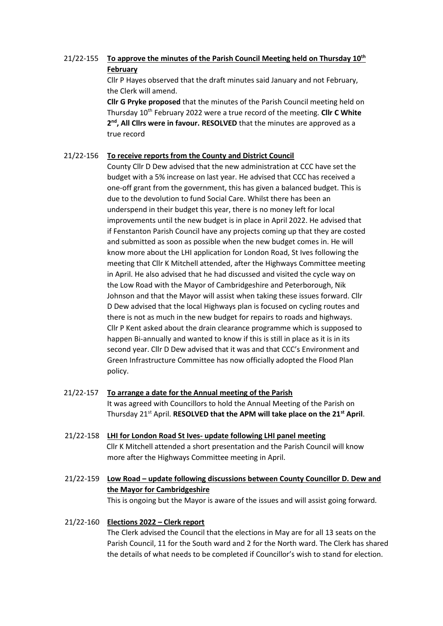# 21/22-155 **To approve the minutes of the Parish Council Meeting held on Thursday 10th February**

Cllr P Hayes observed that the draft minutes said January and not February, the Clerk will amend.

**Cllr G Pryke proposed** that the minutes of the Parish Council meeting held on Thursday 10<sup>th</sup> February 2022 were a true record of the meeting. Cllr C White 2<sup>nd</sup>, All Clirs were in favour. RESOLVED that the minutes are approved as a true record

#### 21/22-156 **To receive reports from the County and District Council**

County Cllr D Dew advised that the new administration at CCC have set the budget with a 5% increase on last year. He advised that CCC has received a one-off grant from the government, this has given a balanced budget. This is due to the devolution to fund Social Care. Whilst there has been an underspend in their budget this year, there is no money left for local improvements until the new budget is in place in April 2022. He advised that if Fenstanton Parish Council have any projects coming up that they are costed and submitted as soon as possible when the new budget comes in. He will know more about the LHI application for London Road, St Ives following the meeting that Cllr K Mitchell attended, after the Highways Committee meeting in April. He also advised that he had discussed and visited the cycle way on the Low Road with the Mayor of Cambridgeshire and Peterborough, Nik Johnson and that the Mayor will assist when taking these issues forward. Cllr D Dew advised that the local Highways plan is focused on cycling routes and there is not as much in the new budget for repairs to roads and highways. Cllr P Kent asked about the drain clearance programme which is supposed to happen Bi-annually and wanted to know if this is still in place as it is in its second year. Cllr D Dew advised that it was and that CCC's Environment and Green Infrastructure Committee has now officially adopted the Flood Plan policy.

| 21/22-157 | To arrange a date for the Annual meeting of the Parish<br>It was agreed with Councillors to hold the Annual Meeting of the Parish on<br>Thursday 21 <sup>st</sup> April. RESOLVED that the APM will take place on the 21 <sup>st</sup> April. |
|-----------|-----------------------------------------------------------------------------------------------------------------------------------------------------------------------------------------------------------------------------------------------|
| 21/22-158 | <b>LHI for London Road St Ives- update following LHI panel meeting</b><br>CIIr K Mitchell attended a short presentation and the Parish Council will know<br>more after the Highways Committee meeting in April.                               |
| 21/22-159 | Low Road – update following discussions between County Councillor D. Dew and<br>the Mayor for Cambridgeshire<br>This is ongoing but the Mayor is aware of the issues and will assist going forward.                                           |

## 21/22-160 **Elections 2022 – Clerk report** The Clerk advised the Council that the elections in May are for all 13 seats on the Parish Council, 11 for the South ward and 2 for the North ward. The Clerk has shared the details of what needs to be completed if Councillor's wish to stand for election.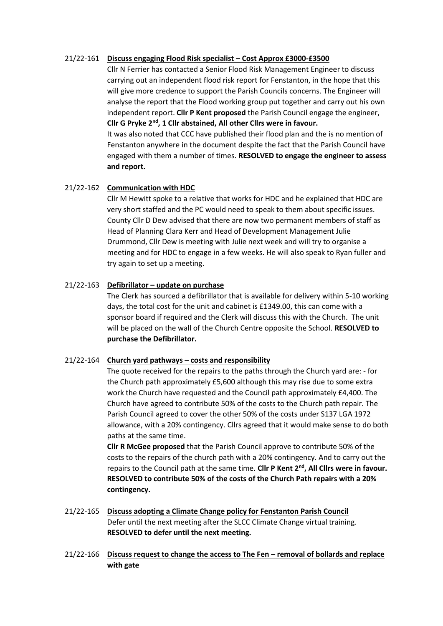#### 21/22-161 **Discuss engaging Flood Risk specialist – Cost Approx £3000-£3500**

Cllr N Ferrier has contacted a Senior Flood Risk Management Engineer to discuss carrying out an independent flood risk report for Fenstanton, in the hope that this will give more credence to support the Parish Councils concerns. The Engineer will analyse the report that the Flood working group put together and carry out his own independent report. **Cllr P Kent proposed** the Parish Council engage the engineer, **Cllr G Pryke 2nd, 1 Cllr abstained, All other Cllrs were in favour.**

It was also noted that CCC have published their flood plan and the is no mention of Fenstanton anywhere in the document despite the fact that the Parish Council have engaged with them a number of times. **RESOLVED to engage the engineer to assess and report.**

## 21/22-162 **Communication with HDC**

Cllr M Hewitt spoke to a relative that works for HDC and he explained that HDC are very short staffed and the PC would need to speak to them about specific issues. County Cllr D Dew advised that there are now two permanent members of staff as Head of Planning Clara Kerr and Head of Development Management Julie Drummond, Cllr Dew is meeting with Julie next week and will try to organise a meeting and for HDC to engage in a few weeks. He will also speak to Ryan fuller and try again to set up a meeting.

#### 21/22-163 **Defibrillator – update on purchase**

The Clerk has sourced a defibrillator that is available for delivery within 5-10 working days, the total cost for the unit and cabinet is £1349.00, this can come with a sponsor board if required and the Clerk will discuss this with the Church. The unit will be placed on the wall of the Church Centre opposite the School. **RESOLVED to purchase the Defibrillator.**

#### 21/22-164 **Church yard pathways – costs and responsibility**

The quote received for the repairs to the paths through the Church yard are: - for the Church path approximately £5,600 although this may rise due to some extra work the Church have requested and the Council path approximately £4,400. The Church have agreed to contribute 50% of the costs to the Church path repair. The Parish Council agreed to cover the other 50% of the costs under S137 LGA 1972 allowance, with a 20% contingency. Cllrs agreed that it would make sense to do both paths at the same time.

**Cllr R McGee proposed** that the Parish Council approve to contribute 50% of the costs to the repairs of the church path with a 20% contingency. And to carry out the repairs to the Council path at the same time. **Cllr P Kent 2nd, All Cllrs were in favour. RESOLVED to contribute 50% of the costs of the Church Path repairs with a 20% contingency.**

- 21/22-165 **Discuss adopting a Climate Change policy for Fenstanton Parish Council** Defer until the next meeting after the SLCC Climate Change virtual training. **RESOLVED to defer until the next meeting.**
- 21/22-166 **Discuss request to change the access to The Fen – removal of bollards and replace with gate**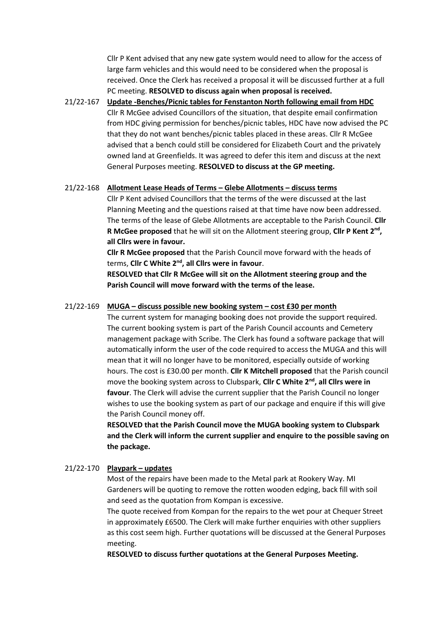Cllr P Kent advised that any new gate system would need to allow for the access of large farm vehicles and this would need to be considered when the proposal is received. Once the Clerk has received a proposal it will be discussed further at a full PC meeting. **RESOLVED to discuss again when proposal is received.**

21/22-167 **Update -Benches/Picnic tables for Fenstanton North following email from HDC** Cllr R McGee advised Councillors of the situation, that despite email confirmation from HDC giving permission for benches/picnic tables, HDC have now advised the PC that they do not want benches/picnic tables placed in these areas. Cllr R McGee advised that a bench could still be considered for Elizabeth Court and the privately owned land at Greenfields. It was agreed to defer this item and discuss at the next General Purposes meeting. **RESOLVED to discuss at the GP meeting.**

#### 21/22-168 **Allotment Lease Heads of Terms – Glebe Allotments – discuss terms**

Cllr P Kent advised Councillors that the terms of the were discussed at the last Planning Meeting and the questions raised at that time have now been addressed. The terms of the lease of Glebe Allotments are acceptable to the Parish Council. **Cllr R McGee proposed** that he will sit on the Allotment steering group, **Cllr P Kent 2nd , all Cllrs were in favour.** 

**Cllr R McGee proposed** that the Parish Council move forward with the heads of terms, **Cllr C White 2nd, all Cllrs were in favour**.

**RESOLVED that Cllr R McGee will sit on the Allotment steering group and the Parish Council will move forward with the terms of the lease.**

#### 21/22-169 **MUGA – discuss possible new booking system – cost £30 per month**

The current system for managing booking does not provide the support required. The current booking system is part of the Parish Council accounts and Cemetery management package with Scribe. The Clerk has found a software package that will automatically inform the user of the code required to access the MUGA and this will mean that it will no longer have to be monitored, especially outside of working hours. The cost is £30.00 per month. **Cllr K Mitchell proposed** that the Parish council move the booking system across to Clubspark, **Cllr C White 2nd, all Cllrs were in favour**. The Clerk will advise the current supplier that the Parish Council no longer wishes to use the booking system as part of our package and enquire if this will give the Parish Council money off.

**RESOLVED that the Parish Council move the MUGA booking system to Clubspark and the Clerk will inform the current supplier and enquire to the possible saving on the package.**

## 21/22-170 **Playpark – updates**

Most of the repairs have been made to the Metal park at Rookery Way. MI Gardeners will be quoting to remove the rotten wooden edging, back fill with soil and seed as the quotation from Kompan is excessive.

The quote received from Kompan for the repairs to the wet pour at Chequer Street in approximately £6500. The Clerk will make further enquiries with other suppliers as this cost seem high. Further quotations will be discussed at the General Purposes meeting.

**RESOLVED to discuss further quotations at the General Purposes Meeting.**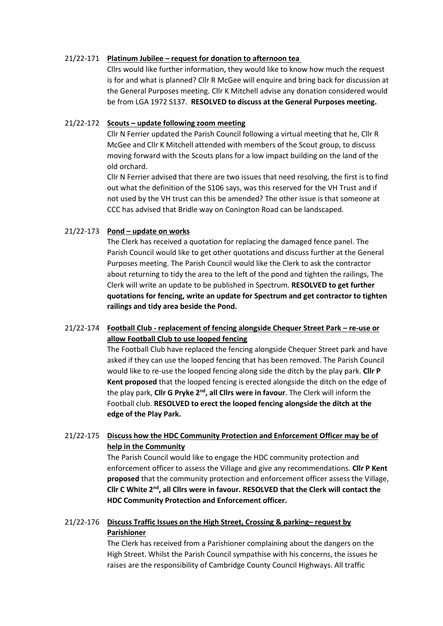#### 21/22-171 **Platinum Jubilee – request for donation to afternoon tea**

Cllrs would like further information, they would like to know how much the request is for and what is planned? Cllr R McGee will enquire and bring back for discussion at the General Purposes meeting. Cllr K Mitchell advise any donation considered would be from LGA 1972 S137. **RESOLVED to discuss at the General Purposes meeting.**

#### 21/22-172 **Scouts – update following zoom meeting**

Cllr N Ferrier updated the Parish Council following a virtual meeting that he, Cllr R McGee and Cllr K Mitchell attended with members of the Scout group, to discuss moving forward with the Scouts plans for a low impact building on the land of the old orchard.

Cllr N Ferrier advised that there are two issues that need resolving, the first is to find out what the definition of the S106 says, was this reserved for the VH Trust and if not used by the VH trust can this be amended? The other issue is that someone at CCC has advised that Bridle way on Conington Road can be landscaped.

## 21/22-173 **Pond – update on works**

The Clerk has received a quotation for replacing the damaged fence panel. The Parish Council would like to get other quotations and discuss further at the General Purposes meeting. The Parish Council would like the Clerk to ask the contractor about returning to tidy the area to the left of the pond and tighten the railings, The Clerk will write an update to be published in Spectrum. **RESOLVED to get further quotations for fencing, write an update for Spectrum and get contractor to tighten railings and tidy area beside the Pond.**

# 21/22-174 **Football Club - replacement of fencing alongside Chequer Street Park – re-use or allow Football Club to use looped fencing**

The Football Club have replaced the fencing alongside Chequer Street park and have asked if they can use the looped fencing that has been removed. The Parish Council would like to re-use the looped fencing along side the ditch by the play park. **Cllr P Kent proposed** that the looped fencing is erected alongside the ditch on the edge of the play park, **Cllr G Pryke 2nd, all Cllrs were in favour**. The Clerk will inform the Football club. **RESOLVED to erect the looped fencing alongside the ditch at the edge of the Play Park.**

# 21/22-175 **Discuss how the HDC Community Protection and Enforcement Officer may be of help in the Community**

The Parish Council would like to engage the HDC community protection and enforcement officer to assess the Village and give any recommendations. **Cllr P Kent proposed** that the community protection and enforcement officer assess the Village, **Cllr C White 2nd, all Cllrs were in favour. RESOLVED that the Clerk will contact the HDC Community Protection and Enforcement officer.**

# 21/22-176 **Discuss Traffic Issues on the High Street, Crossing & parking– request by Parishioner**

The Clerk has received from a Parishioner complaining about the dangers on the High Street. Whilst the Parish Council sympathise with his concerns, the issues he raises are the responsibility of Cambridge County Council Highways. All traffic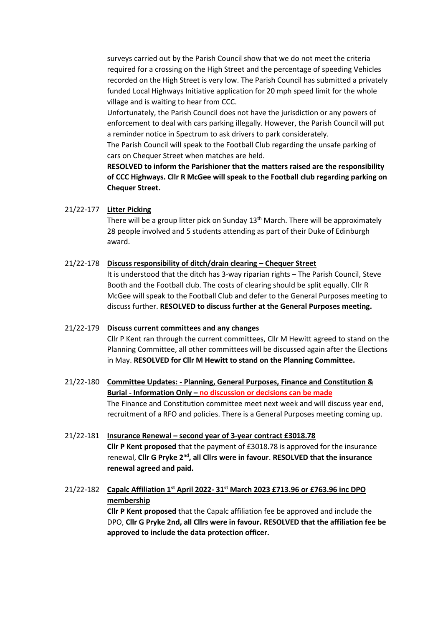surveys carried out by the Parish Council show that we do not meet the criteria required for a crossing on the High Street and the percentage of speeding Vehicles recorded on the High Street is very low. The Parish Council has submitted a privately funded Local Highways Initiative application for 20 mph speed limit for the whole village and is waiting to hear from CCC.

Unfortunately, the Parish Council does not have the jurisdiction or any powers of enforcement to deal with cars parking illegally. However, the Parish Council will put a reminder notice in Spectrum to ask drivers to park considerately.

The Parish Council will speak to the Football Club regarding the unsafe parking of cars on Chequer Street when matches are held.

**RESOLVED to inform the Parishioner that the matters raised are the responsibility of CCC Highways. Cllr R McGee will speak to the Football club regarding parking on Chequer Street.**

#### 21/22-177 **Litter Picking**

There will be a group litter pick on Sunday  $13<sup>th</sup>$  March. There will be approximately 28 people involved and 5 students attending as part of their Duke of Edinburgh award.

#### 21/22-178 **Discuss responsibility of ditch/drain clearing – Chequer Street**

It is understood that the ditch has 3-way riparian rights – The Parish Council, Steve Booth and the Football club. The costs of clearing should be split equally. Cllr R McGee will speak to the Football Club and defer to the General Purposes meeting to discuss further. **RESOLVED to discuss further at the General Purposes meeting.**

# 21/22-179 **Discuss current committees and any changes**

Cllr P Kent ran through the current committees, Cllr M Hewitt agreed to stand on the Planning Committee, all other committees will be discussed again after the Elections in May. **RESOLVED for Cllr M Hewitt to stand on the Planning Committee.**

## 21/22-180 **Committee Updates: - Planning, General Purposes, Finance and Constitution & Burial - Information Only – no discussion or decisions can be made** The Finance and Constitution committee meet next week and will discuss year end, recruitment of a RFO and policies. There is a General Purposes meeting coming up.

21/22-181 **Insurance Renewal – second year of 3-year contract £3018.78 Cllr P Kent proposed** that the payment of £3018.78 is approved for the insurance renewal, **Cllr G Pryke 2nd, all Cllrs were in favour**. **RESOLVED that the insurance renewal agreed and paid.** 

# 21/22-182 **Capalc Affiliation 1st April 2022- 31st March 2023 £713.96 or £763.96 inc DPO membership**

**Cllr P Kent proposed** that the Capalc affiliation fee be approved and include the DPO, **Cllr G Pryke 2nd, all Cllrs were in favour. RESOLVED that the affiliation fee be approved to include the data protection officer.**